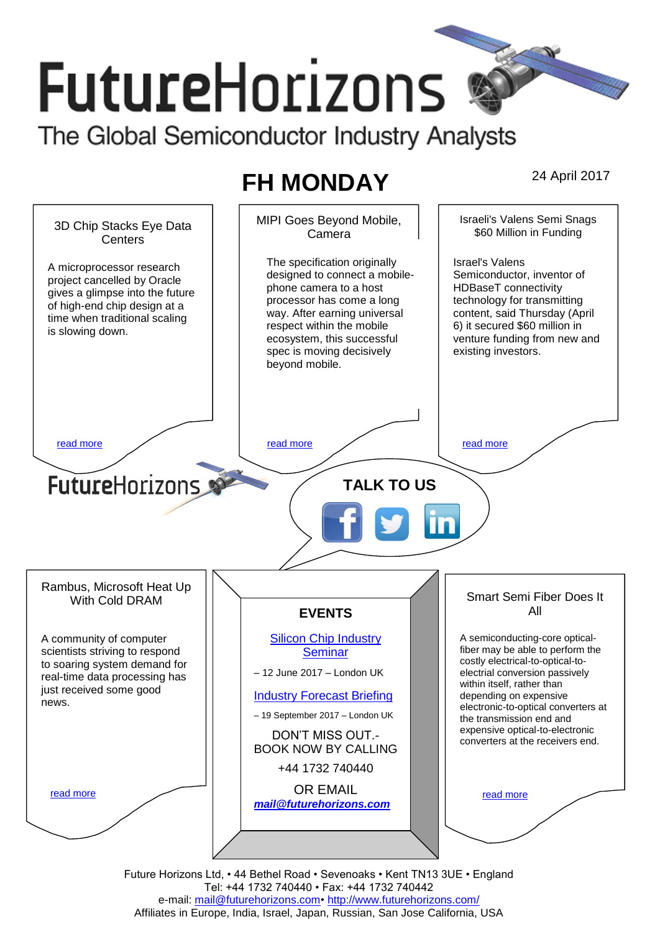# **FutureHorizons** The Global Semiconductor Industry Analysts

## **FH MONDAY** 24 April 2017



Future Horizons Ltd, • 44 Bethel Road • Sevenoaks • Kent TN13 3UE • England Tel: +44 1732 740440 • Fax: +44 1732 740442 e-mail: mail@futurehorizons.com• http://www.futurehorizons.com/ Affiliates in Europe, India, Israel, Japan, Russian, San Jose California, USA